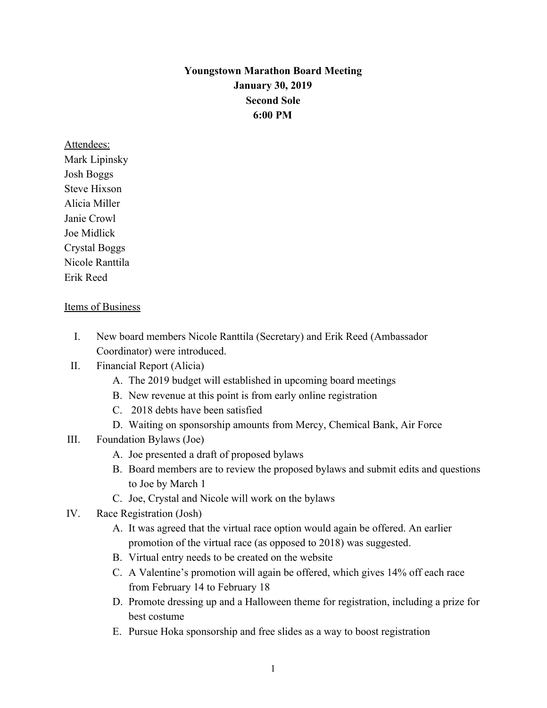## **Youngstown Marathon Board Meeting January 30, 2019 Second Sole 6:00 PM**

Attendees: Mark Lipinsky Josh Boggs Steve Hixson Alicia Miller Janie Crowl Joe Midlick Crystal Boggs Nicole Ranttila Erik Reed

## Items of Business

I. New board members Nicole Ranttila (Secretary) and Erik Reed (Ambassador Coordinator) were introduced.

## II. Financial Report (Alicia)

- A. The 2019 budget will established in upcoming board meetings
- B. New revenue at this point is from early online registration
- C. 2018 debts have been satisfied
- D. Waiting on sponsorship amounts from Mercy, Chemical Bank, Air Force
- III. Foundation Bylaws (Joe)
	- A. Joe presented a draft of proposed bylaws
	- B. Board members are to review the proposed bylaws and submit edits and questions to Joe by March 1
	- C. Joe, Crystal and Nicole will work on the bylaws
- IV. Race Registration (Josh)
	- A. It was agreed that the virtual race option would again be offered. An earlier promotion of the virtual race (as opposed to 2018) was suggested.
	- B. Virtual entry needs to be created on the website
	- C. A Valentine's promotion will again be offered, which gives 14% off each race from February 14 to February 18
	- D. Promote dressing up and a Halloween theme for registration, including a prize for best costume
	- E. Pursue Hoka sponsorship and free slides as a way to boost registration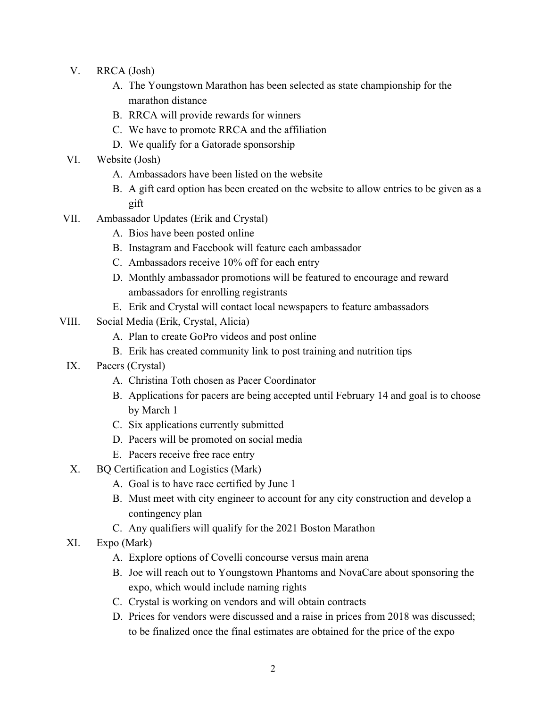- V. RRCA (Josh)
	- A. The Youngstown Marathon has been selected as state championship for the marathon distance
	- B. RRCA will provide rewards for winners
	- C. We have to promote RRCA and the affiliation
	- D. We qualify for a Gatorade sponsorship
- VI. Website (Josh)
	- A. Ambassadors have been listed on the website
	- B. A gift card option has been created on the website to allow entries to be given as a gift
- VII. Ambassador Updates (Erik and Crystal)
	- A. Bios have been posted online
	- B. Instagram and Facebook will feature each ambassador
	- C. Ambassadors receive 10% off for each entry
	- D. Monthly ambassador promotions will be featured to encourage and reward ambassadors for enrolling registrants
	- E. Erik and Crystal will contact local newspapers to feature ambassadors
- VIII. Social Media (Erik, Crystal, Alicia)
	- A. Plan to create GoPro videos and post online
	- B. Erik has created community link to post training and nutrition tips
	- IX. Pacers (Crystal)
		- A. Christina Toth chosen as Pacer Coordinator
		- B. Applications for pacers are being accepted until February 14 and goal is to choose by March 1
		- C. Six applications currently submitted
		- D. Pacers will be promoted on social media
		- E. Pacers receive free race entry
	- X. BQ Certification and Logistics (Mark)
		- A. Goal is to have race certified by June 1
		- B. Must meet with city engineer to account for any city construction and develop a contingency plan
		- C. Any qualifiers will qualify for the 2021 Boston Marathon
	- XI. Expo (Mark)
		- A. Explore options of Covelli concourse versus main arena
		- B. Joe will reach out to Youngstown Phantoms and NovaCare about sponsoring the expo, which would include naming rights
		- C. Crystal is working on vendors and will obtain contracts
		- D. Prices for vendors were discussed and a raise in prices from 2018 was discussed; to be finalized once the final estimates are obtained for the price of the expo